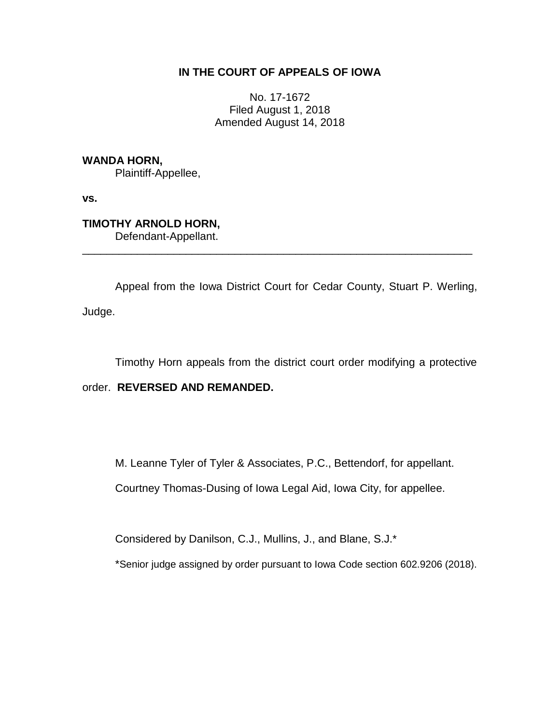# **IN THE COURT OF APPEALS OF IOWA**

No. 17-1672 Filed August 1, 2018 Amended August 14, 2018

**WANDA HORN,**

Plaintiff-Appellee,

**vs.**

**TIMOTHY ARNOLD HORN,** Defendant-Appellant.

Appeal from the Iowa District Court for Cedar County, Stuart P. Werling, Judge.

\_\_\_\_\_\_\_\_\_\_\_\_\_\_\_\_\_\_\_\_\_\_\_\_\_\_\_\_\_\_\_\_\_\_\_\_\_\_\_\_\_\_\_\_\_\_\_\_\_\_\_\_\_\_\_\_\_\_\_\_\_\_\_\_

Timothy Horn appeals from the district court order modifying a protective

# order. **REVERSED AND REMANDED.**

M. Leanne Tyler of Tyler & Associates, P.C., Bettendorf, for appellant.

Courtney Thomas-Dusing of Iowa Legal Aid, Iowa City, for appellee.

Considered by Danilson, C.J., Mullins, J., and Blane, S.J.\*

\*Senior judge assigned by order pursuant to Iowa Code section 602.9206 (2018).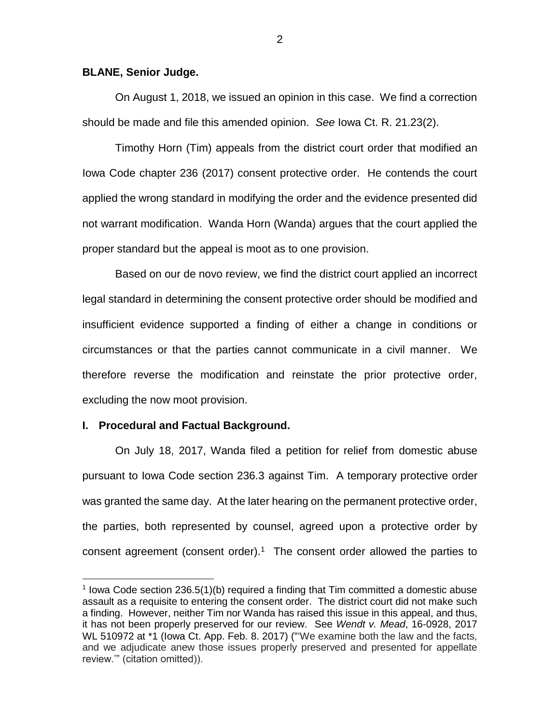### **BLANE, Senior Judge.**

On August 1, 2018, we issued an opinion in this case. We find a correction should be made and file this amended opinion. *See* Iowa Ct. R. 21.23(2).

Timothy Horn (Tim) appeals from the district court order that modified an Iowa Code chapter 236 (2017) consent protective order. He contends the court applied the wrong standard in modifying the order and the evidence presented did not warrant modification. Wanda Horn (Wanda) argues that the court applied the proper standard but the appeal is moot as to one provision.

Based on our de novo review, we find the district court applied an incorrect legal standard in determining the consent protective order should be modified and insufficient evidence supported a finding of either a change in conditions or circumstances or that the parties cannot communicate in a civil manner. We therefore reverse the modification and reinstate the prior protective order, excluding the now moot provision.

### **I. Procedural and Factual Background.**

 $\overline{a}$ 

On July 18, 2017, Wanda filed a petition for relief from domestic abuse pursuant to Iowa Code section 236.3 against Tim. A temporary protective order was granted the same day. At the later hearing on the permanent protective order, the parties, both represented by counsel, agreed upon a protective order by consent agreement (consent order). <sup>1</sup> The consent order allowed the parties to

<sup>&</sup>lt;sup>1</sup> lowa Code section 236.5(1)(b) required a finding that Tim committed a domestic abuse assault as a requisite to entering the consent order. The district court did not make such a finding. However, neither Tim nor Wanda has raised this issue in this appeal, and thus, it has not been properly preserved for our review. See *Wendt v. Mead*, 16-0928, 2017 WL 510972 at \*1 (Iowa Ct. App. Feb. 8. 2017) ("'We examine both the law and the facts, and we adjudicate anew those issues properly preserved and presented for appellate review.'" (citation omitted)).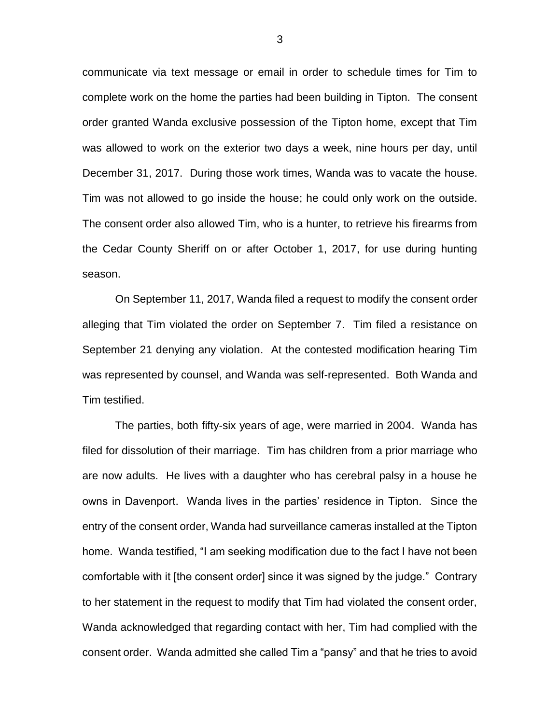communicate via text message or email in order to schedule times for Tim to complete work on the home the parties had been building in Tipton. The consent order granted Wanda exclusive possession of the Tipton home, except that Tim was allowed to work on the exterior two days a week, nine hours per day, until December 31, 2017. During those work times, Wanda was to vacate the house. Tim was not allowed to go inside the house; he could only work on the outside. The consent order also allowed Tim, who is a hunter, to retrieve his firearms from the Cedar County Sheriff on or after October 1, 2017, for use during hunting season.

On September 11, 2017, Wanda filed a request to modify the consent order alleging that Tim violated the order on September 7. Tim filed a resistance on September 21 denying any violation. At the contested modification hearing Tim was represented by counsel, and Wanda was self-represented. Both Wanda and Tim testified.

The parties, both fifty-six years of age, were married in 2004. Wanda has filed for dissolution of their marriage. Tim has children from a prior marriage who are now adults. He lives with a daughter who has cerebral palsy in a house he owns in Davenport. Wanda lives in the parties' residence in Tipton. Since the entry of the consent order, Wanda had surveillance cameras installed at the Tipton home. Wanda testified, "I am seeking modification due to the fact I have not been comfortable with it [the consent order] since it was signed by the judge." Contrary to her statement in the request to modify that Tim had violated the consent order, Wanda acknowledged that regarding contact with her, Tim had complied with the consent order. Wanda admitted she called Tim a "pansy" and that he tries to avoid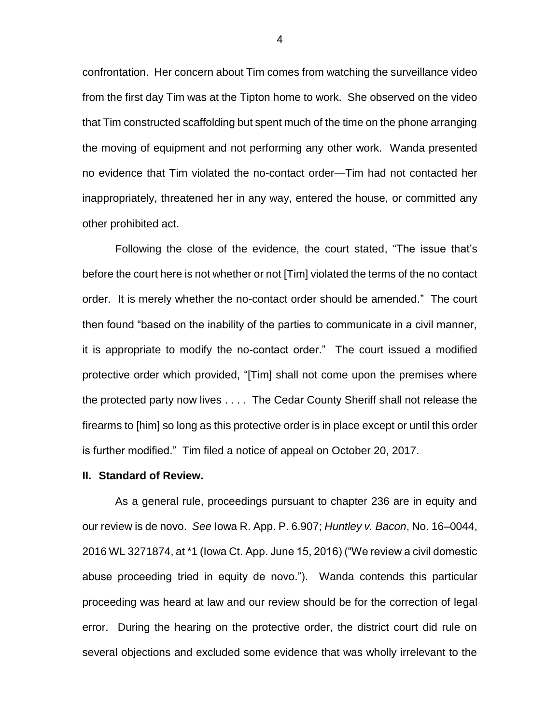confrontation. Her concern about Tim comes from watching the surveillance video from the first day Tim was at the Tipton home to work. She observed on the video that Tim constructed scaffolding but spent much of the time on the phone arranging the moving of equipment and not performing any other work. Wanda presented no evidence that Tim violated the no-contact order—Tim had not contacted her inappropriately, threatened her in any way, entered the house, or committed any other prohibited act.

Following the close of the evidence, the court stated, "The issue that's before the court here is not whether or not [Tim] violated the terms of the no contact order. It is merely whether the no-contact order should be amended." The court then found "based on the inability of the parties to communicate in a civil manner, it is appropriate to modify the no-contact order." The court issued a modified protective order which provided, "[Tim] shall not come upon the premises where the protected party now lives . . . . The Cedar County Sheriff shall not release the firearms to [him] so long as this protective order is in place except or until this order is further modified." Tim filed a notice of appeal on October 20, 2017.

#### **II. Standard of Review.**

As a general rule, proceedings pursuant to chapter 236 are in equity and our review is de novo. *See* Iowa R. App. P. 6.907; *Huntley v. Bacon*, No. 16–0044, 2016 WL 3271874, at \*1 (Iowa Ct. App. June 15, 2016) ("We review a civil domestic abuse proceeding tried in equity de novo."). Wanda contends this particular proceeding was heard at law and our review should be for the correction of legal error. During the hearing on the protective order, the district court did rule on several objections and excluded some evidence that was wholly irrelevant to the

4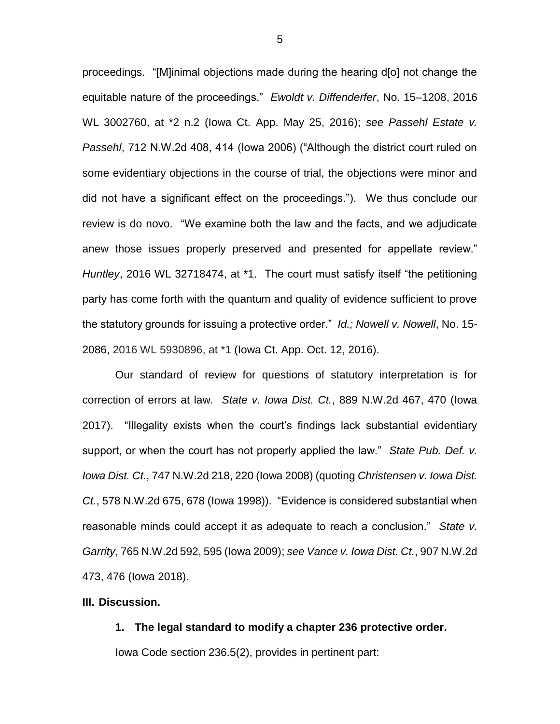proceedings. "[M]inimal objections made during the hearing d[o] not change the equitable nature of the proceedings." *Ewoldt v. Diffenderfer*, No. 15–1208, 2016 WL 3002760, at \*2 n.2 (Iowa Ct. App. May 25, 2016); *see Passehl Estate v. Passehl*, 712 N.W.2d 408, 414 (Iowa 2006) ("Although the district court ruled on some evidentiary objections in the course of trial, the objections were minor and did not have a significant effect on the proceedings."). We thus conclude our review is do novo. "We examine both the law and the facts, and we adjudicate anew those issues properly preserved and presented for appellate review." *Huntley*, 2016 WL 32718474, at \*1. The court must satisfy itself "the petitioning party has come forth with the quantum and quality of evidence sufficient to prove the statutory grounds for issuing a protective order." *Id.; Nowell v. Nowell*, No. 15- 2086, 2016 WL 5930896, at \*1 (Iowa Ct. App. Oct. 12, 2016).

Our standard of review for questions of statutory interpretation is for correction of errors at law. *State v. Iowa Dist. Ct.*, 889 N.W.2d 467, 470 (Iowa 2017). "Illegality exists when the court's findings lack substantial evidentiary support, or when the court has not properly applied the law." *State Pub. Def. v. Iowa Dist. Ct.*, 747 N.W.2d 218, 220 (Iowa 2008) (quoting *Christensen v. Iowa Dist. Ct.*, 578 N.W.2d 675, 678 (Iowa 1998)). "Evidence is considered substantial when reasonable minds could accept it as adequate to reach a conclusion." *State v. Garrity*, 765 N.W.2d 592, 595 (Iowa 2009); *see Vance v. Iowa Dist. Ct.*, 907 N.W.2d 473, 476 (Iowa 2018).

### **III. Discussion.**

#### **1. The legal standard to modify a chapter 236 protective order.**

Iowa Code section 236.5(2), provides in pertinent part: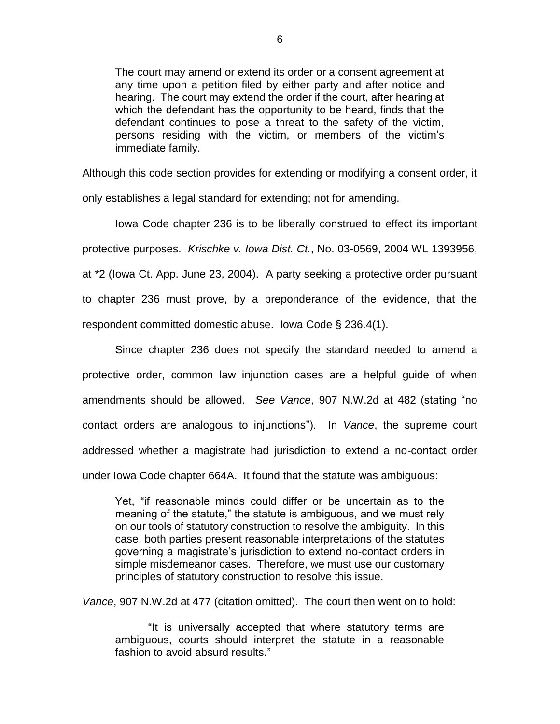The court may amend or extend its order or a consent agreement at any time upon a petition filed by either party and after notice and hearing. The court may extend the order if the court, after hearing at which the defendant has the opportunity to be heard, finds that the defendant continues to pose a threat to the safety of the victim, persons residing with the victim, or members of the victim's immediate family.

Although this code section provides for extending or modifying a consent order, it only establishes a legal standard for extending; not for amending.

Iowa Code chapter 236 is to be liberally construed to effect its important protective purposes. *Krischke v. Iowa Dist. Ct.*, No. 03-0569, 2004 WL 1393956, at \*2 (Iowa Ct. App. June 23, 2004). A party seeking a protective order pursuant to chapter 236 must prove, by a preponderance of the evidence, that the respondent committed domestic abuse. Iowa Code § 236.4(1).

Since chapter 236 does not specify the standard needed to amend a protective order, common law injunction cases are a helpful guide of when amendments should be allowed. *See Vance*, 907 N.W.2d at 482 (stating "no contact orders are analogous to injunctions"). In *Vance*, the supreme court addressed whether a magistrate had jurisdiction to extend a no-contact order under Iowa Code chapter 664A. It found that the statute was ambiguous:

Yet, "if reasonable minds could differ or be uncertain as to the meaning of the statute," the statute is ambiguous, and we must rely on our tools of statutory construction to resolve the ambiguity. In this case, both parties present reasonable interpretations of the statutes governing a magistrate's jurisdiction to extend no-contact orders in simple misdemeanor cases. Therefore, we must use our customary principles of statutory construction to resolve this issue.

*Vance*, 907 N.W.2d at 477 (citation omitted). The court then went on to hold:

"It is universally accepted that where statutory terms are ambiguous, courts should interpret the statute in a reasonable fashion to avoid absurd results."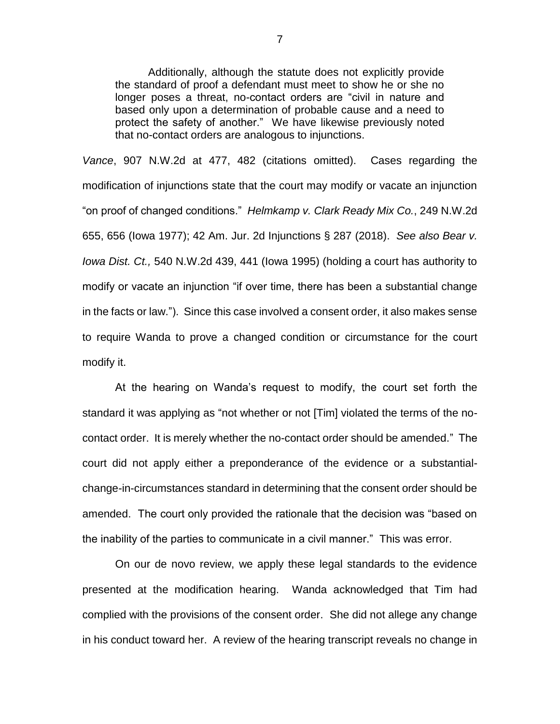Additionally, although the statute does not explicitly provide the standard of proof a defendant must meet to show he or she no longer poses a threat, no-contact orders are "civil in nature and based only upon a determination of probable cause and a need to protect the safety of another." We have likewise previously noted that no-contact orders are analogous to injunctions.

*Vance*, 907 N.W.2d at 477, 482 (citations omitted). Cases regarding the modification of injunctions state that the court may modify or vacate an injunction "on proof of changed conditions." *Helmkamp v. Clark Ready Mix Co.*, 249 N.W.2d 655, 656 (Iowa 1977); 42 Am. Jur. 2d Injunctions § 287 (2018). *See also Bear v. Iowa Dist. Ct.,* 540 N.W.2d 439, 441 (Iowa 1995) (holding a court has authority to modify or vacate an injunction "if over time, there has been a substantial change in the facts or law."). Since this case involved a consent order, it also makes sense to require Wanda to prove a changed condition or circumstance for the court modify it.

At the hearing on Wanda's request to modify, the court set forth the standard it was applying as "not whether or not [Tim] violated the terms of the nocontact order. It is merely whether the no-contact order should be amended." The court did not apply either a preponderance of the evidence or a substantialchange-in-circumstances standard in determining that the consent order should be amended. The court only provided the rationale that the decision was "based on the inability of the parties to communicate in a civil manner." This was error.

On our de novo review, we apply these legal standards to the evidence presented at the modification hearing. Wanda acknowledged that Tim had complied with the provisions of the consent order. She did not allege any change in his conduct toward her. A review of the hearing transcript reveals no change in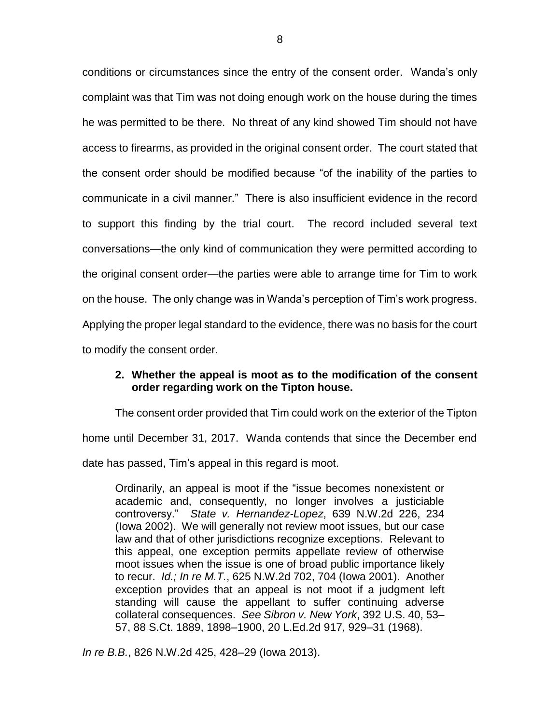conditions or circumstances since the entry of the consent order. Wanda's only complaint was that Tim was not doing enough work on the house during the times he was permitted to be there. No threat of any kind showed Tim should not have access to firearms, as provided in the original consent order. The court stated that the consent order should be modified because "of the inability of the parties to communicate in a civil manner." There is also insufficient evidence in the record to support this finding by the trial court. The record included several text conversations—the only kind of communication they were permitted according to the original consent order—the parties were able to arrange time for Tim to work on the house. The only change was in Wanda's perception of Tim's work progress. Applying the proper legal standard to the evidence, there was no basis for the court to modify the consent order.

## **2. Whether the appeal is moot as to the modification of the consent order regarding work on the Tipton house.**

The consent order provided that Tim could work on the exterior of the Tipton home until December 31, 2017. Wanda contends that since the December end date has passed, Tim's appeal in this regard is moot.

Ordinarily, an appeal is moot if the "issue becomes nonexistent or academic and, consequently, no longer involves a justiciable controversy." *State v. Hernandez-Lopez*, 639 N.W.2d 226, 234 (Iowa 2002). We will generally not review moot issues, but our case law and that of other jurisdictions recognize exceptions. Relevant to this appeal, one exception permits appellate review of otherwise moot issues when the issue is one of broad public importance likely to recur. *Id.; In re M.T.*, 625 N.W.2d 702, 704 (Iowa 2001). Another exception provides that an appeal is not moot if a judgment left standing will cause the appellant to suffer continuing adverse collateral consequences. *See Sibron v. New York*, 392 U.S. 40, 53– 57, 88 S.Ct. 1889, 1898–1900, 20 L.Ed.2d 917, 929–31 (1968).

*In re B.B.*, 826 N.W.2d 425, 428–29 (Iowa 2013).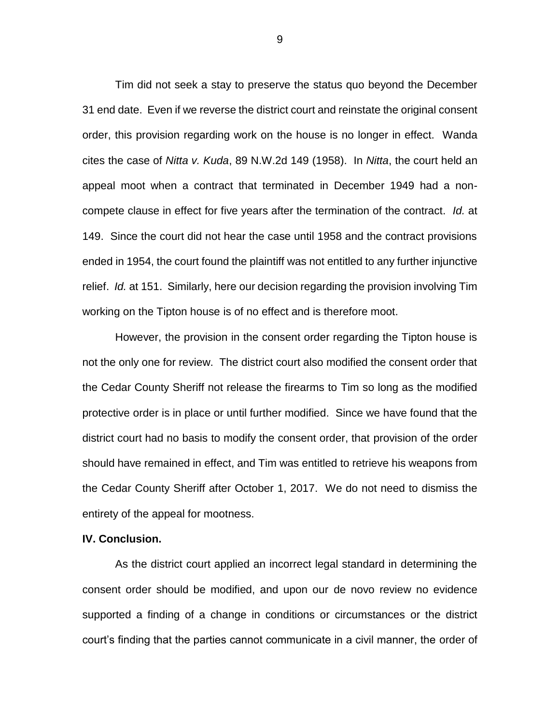Tim did not seek a stay to preserve the status quo beyond the December 31 end date. Even if we reverse the district court and reinstate the original consent order, this provision regarding work on the house is no longer in effect. Wanda cites the case of *Nitta v. Kuda*, 89 N.W.2d 149 (1958). In *Nitta*, the court held an appeal moot when a contract that terminated in December 1949 had a noncompete clause in effect for five years after the termination of the contract. *Id.* at 149. Since the court did not hear the case until 1958 and the contract provisions ended in 1954, the court found the plaintiff was not entitled to any further injunctive relief. *Id.* at 151. Similarly, here our decision regarding the provision involving Tim working on the Tipton house is of no effect and is therefore moot.

However, the provision in the consent order regarding the Tipton house is not the only one for review. The district court also modified the consent order that the Cedar County Sheriff not release the firearms to Tim so long as the modified protective order is in place or until further modified. Since we have found that the district court had no basis to modify the consent order, that provision of the order should have remained in effect, and Tim was entitled to retrieve his weapons from the Cedar County Sheriff after October 1, 2017. We do not need to dismiss the entirety of the appeal for mootness.

## **IV. Conclusion.**

As the district court applied an incorrect legal standard in determining the consent order should be modified, and upon our de novo review no evidence supported a finding of a change in conditions or circumstances or the district court's finding that the parties cannot communicate in a civil manner, the order of

9